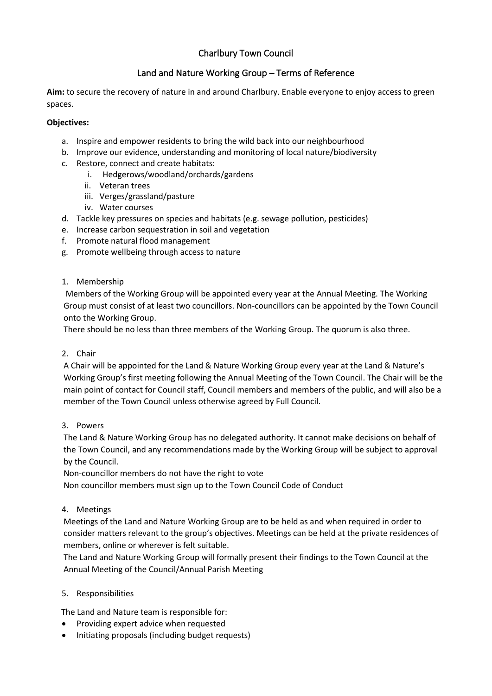# Charlbury Town Council

## Land and Nature Working Group – Terms of Reference

**Aim:** to secure the recovery of nature in and around Charlbury. Enable everyone to enjoy access to green spaces.

### **Objectives:**

- a. Inspire and empower residents to bring the wild back into our neighbourhood
- b. Improve our evidence, understanding and monitoring of local nature/biodiversity
- c. Restore, connect and create habitats:
	- i. Hedgerows/woodland/orchards/gardens
	- ii. Veteran trees
	- iii. Verges/grassland/pasture
	- iv. Water courses
- d. Tackle key pressures on species and habitats (e.g. sewage pollution, pesticides)
- e. Increase carbon sequestration in soil and vegetation
- f. Promote natural flood management
- g. Promote wellbeing through access to nature

### 1. Membership

Members of the Working Group will be appointed every year at the Annual Meeting. The Working Group must consist of at least two councillors. Non-councillors can be appointed by the Town Council onto the Working Group.

There should be no less than three members of the Working Group. The quorum is also three.

### 2. Chair

A Chair will be appointed for the Land & Nature Working Group every year at the Land & Nature's Working Group's first meeting following the Annual Meeting of the Town Council. The Chair will be the main point of contact for Council staff, Council members and members of the public, and will also be a member of the Town Council unless otherwise agreed by Full Council.

### 3. Powers

The Land & Nature Working Group has no delegated authority. It cannot make decisions on behalf of the Town Council, and any recommendations made by the Working Group will be subject to approval by the Council.

Non-councillor members do not have the right to vote

Non councillor members must sign up to the Town Council Code of Conduct

### 4. Meetings

Meetings of the Land and Nature Working Group are to be held as and when required in order to consider matters relevant to the group's objectives. Meetings can be held at the private residences of members, online or wherever is felt suitable.

The Land and Nature Working Group will formally present their findings to the Town Council at the Annual Meeting of the Council/Annual Parish Meeting

### 5. Responsibilities

The Land and Nature team is responsible for:

- Providing expert advice when requested
- Initiating proposals (including budget requests)